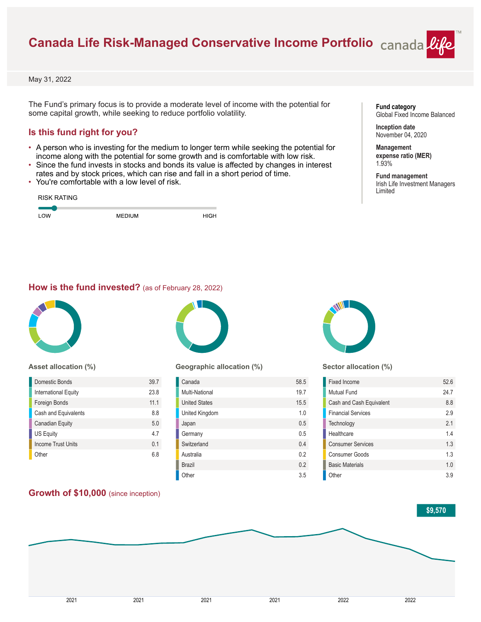# **Canada Life Risk-Managed Conservative Income Portfolio**

May 31, 2022

The Fund's primary focus is to provide a moderate level of income with the potential for some capital growth, while seeking to reduce portfolio volatility.

### **Is this fund right for you?**

- A person who is investing for the medium to longer term while seeking the potential for income along with the potential for some growth and is comfortable with low risk.
- Since the fund invests in stocks and bonds its value is affected by changes in interest rates and by stock prices, which can rise and fall in a short period of time.
- You're comfortable with a low level of risk.

| <b>RISK RATING</b> |               |      |
|--------------------|---------------|------|
| LOW                | <b>MEDIUM</b> | HIGH |

#### **Fund category** Global Fixed Income Balanced

**Inception date** November 04, 2020

**Management expense ratio (MER)** 1.93%

**Fund management** Irish Life Investment Managers Limited

#### **How is the fund invested?** (as of February 28, 2022)



#### **Asset allocation (%)**

| <b>Domestic Bonds</b>     | 39.7           |
|---------------------------|----------------|
| International Equity      | 23.8           |
| Foreign Bonds             | 111            |
| Cash and Equivalents      | 8.8            |
| <b>Canadian Equity</b>    | 5.0            |
| <b>US Equity</b>          | 47             |
| <b>Income Trust Units</b> | 0 <sub>1</sub> |
| Other                     | 68             |

#### **Growth of \$10,000** (since inception)



#### **Geographic allocation (%)**

| Canada               | 58.5 |
|----------------------|------|
| Multi-National       | 19.7 |
| <b>United States</b> | 15.5 |
| United Kingdom       | 1.0  |
| Japan                | 0.5  |
| Germany              | 0.5  |
| Switzerland          | 0.4  |
| Australia            | 0.2  |
| <b>Brazil</b>        | 0.2  |
| Other                | 3.5  |



#### **Sector allocation (%)**

| Fixed Income              | 52.6 |
|---------------------------|------|
| Mutual Fund               | 24.7 |
| Cash and Cash Equivalent  | 8.8  |
| <b>Financial Services</b> | 29   |
| Technology                | 21   |
| Healthcare                | 14   |
| <b>Consumer Services</b>  | 13   |
| Consumer Goods            | 13   |
| <b>Basic Materials</b>    | 1.0  |
| Other                     | 39   |

#### **\$9,570**